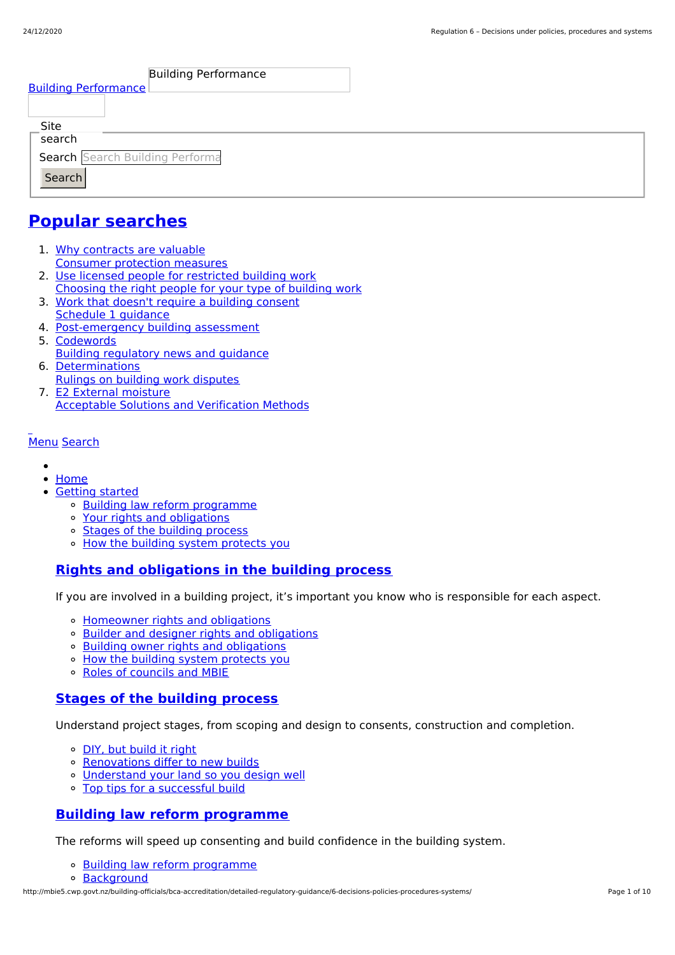| <b>Building Performance</b>     |  |  |  |
|---------------------------------|--|--|--|
| <b>Building Performance</b>     |  |  |  |
|                                 |  |  |  |
| _Site<br>search                 |  |  |  |
|                                 |  |  |  |
| Search Search Building Performa |  |  |  |
| Search                          |  |  |  |
|                                 |  |  |  |

# **Popular [searches](http://mbie5.cwp.govt.nz/#)**

- 1. Why contracts are valuable Consumer protection measures
- 2. Use licensed people for restricted building work Choosing the right people for your type of building work
- 3. Work that doesn't require a building consent Schedule 1 guidance
- 4. Post-emergency building assessment
- 5. Codewords Building regulatory news and guidance
- 6. Determinations Rulings on building work disputes
- 7. E2 External moisture Acceptable Solutions and Verification Methods

### [Menu](http://mbie5.cwp.govt.nz/#) [Search](http://mbie5.cwp.govt.nz/#)

- $\bullet$
- [Home](http://mbie5.cwp.govt.nz/)
- [Getting](http://mbie5.cwp.govt.nz/getting-started/) started
	- o Building law reform [programme](http://mbie5.cwp.govt.nz/getting-started/building-law-reforms/)
	- Your rights and [obligations](http://mbie5.cwp.govt.nz/getting-started/your-rights-and-obligations/)
	- Stages of the [building](http://mbie5.cwp.govt.nz/getting-started/stages-of-the-building-process/) process
	- o How the building system [protects](http://mbie5.cwp.govt.nz/getting-started/how-the-building-system-protects-you/) you

## **Rights and [obligations](http://mbie5.cwp.govt.nz/getting-started/your-rights-and-obligations/) in the building process**

If you are involved in a building project, it's important you know who is responsible for each aspect.

- [Homeowner](http://mbie5.cwp.govt.nz/getting-started/your-rights-and-obligations/homeowner-rights-and-obligations/) rights and obligations
- o Builder and designer rights and [obligations](http://mbie5.cwp.govt.nz/getting-started/your-rights-and-obligations/builder-and-designer-rights-and-obligations/)
- Building owner rights and [obligations](http://mbie5.cwp.govt.nz/getting-started/your-rights-and-obligations/building-owner-rights-and-obligations/)
- How the building system [protects](http://mbie5.cwp.govt.nz/getting-started/how-the-building-system-protects-you/) you
- Roles of [councils](http://mbie5.cwp.govt.nz/getting-started/how-the-building-system-protects-you/roles-of-councils-and-mbie/) and MBIE

### **Stages of the [building](http://mbie5.cwp.govt.nz/getting-started/stages-of-the-building-process/) process**

Understand project stages, from scoping and design to consents, construction and completion.

- o DIY, but [build](http://mbie5.cwp.govt.nz/getting-started/stages-of-the-building-process/diy-but-build-it-right/) it right
- o [Renovations](http://mbie5.cwp.govt.nz/getting-started/stages-of-the-building-process/renovations-differ-to-new-builds/) differ to new builds
- [Understand](http://mbie5.cwp.govt.nz/getting-started/stages-of-the-building-process/understand-your-land/) your land so you design well
- Top tips for a [successful](http://mbie5.cwp.govt.nz/getting-started/stages-of-the-building-process/top-tips-for-building/) build

### **Building law reform [programme](http://mbie5.cwp.govt.nz/getting-started/building-law-reforms/)**

The reforms will speed up consenting and build confidence in the building system.

- Building law reform [programme](http://mbie5.cwp.govt.nz/getting-started/building-law-reforms/)
- [Background](http://mbie5.cwp.govt.nz/getting-started/building-law-reforms/background-to-the-building-law-reforms/)

http://mbie5.cwp.govt.nz/building-officials/bca-accreditation/detailed-regulatory-guidance/6-decisions-policies-procedures-systems/ Page 1 of 10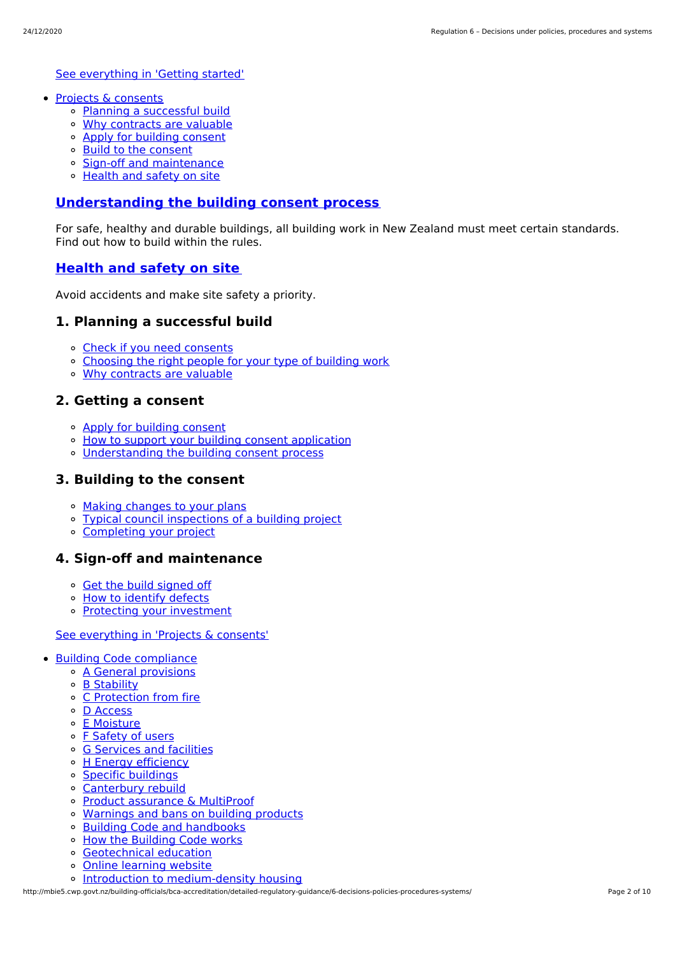See [everything](http://mbie5.cwp.govt.nz/getting-started/) in 'Getting started'

- Projects & [consents](http://mbie5.cwp.govt.nz/projects-and-consents/)
	- Planning a [successful](http://mbie5.cwp.govt.nz/projects-and-consents/planning-a-successful-build/) build
	- Why [contracts](http://mbie5.cwp.govt.nz/projects-and-consents/why-contracts-are-valuable/) are valuable
	- Apply for [building](http://mbie5.cwp.govt.nz/projects-and-consents/apply-for-building-consent/) consent
	- Build to the [consent](http://mbie5.cwp.govt.nz/projects-and-consents/build-to-the-consent/)
	- Sign-off and [maintenance](http://mbie5.cwp.govt.nz/projects-and-consents/sign-off-and-maintenance/)
	- [Health](http://mbie5.cwp.govt.nz/projects-and-consents/health-and-safety-on-site/) and safety on site

#### **[Understanding](http://mbie5.cwp.govt.nz/projects-and-consents/apply-for-building-consent/building-consent-process/) the building consent process**

For safe, healthy and durable buildings, all building work in New Zealand must meet certain standards. Find out how to build within the rules.

### **[Health](http://mbie5.cwp.govt.nz/projects-and-consents/health-and-safety-on-site/) and safety on site**

Avoid accidents and make site safety a priority.

### **1. Planning a successful build**

- Check if you need [consents](http://mbie5.cwp.govt.nz/projects-and-consents/planning-a-successful-build/scope-and-design/check-if-you-need-consents/)
- [Choosing](http://mbie5.cwp.govt.nz/projects-and-consents/planning-a-successful-build/scope-and-design/choosing-the-right-people-for-your-type-of-building-work/) the right people for your type of building work
- Why [contracts](http://mbie5.cwp.govt.nz/projects-and-consents/why-contracts-are-valuable/) are valuable

### **2. Getting a consent**

- Apply for [building](http://mbie5.cwp.govt.nz/projects-and-consents/apply-for-building-consent/) consent
- o How to support your building consent [application](http://mbie5.cwp.govt.nz/projects-and-consents/apply-for-building-consent/support-your-consent-application/)
- [Understanding](http://mbie5.cwp.govt.nz/projects-and-consents/apply-for-building-consent/building-consent-process/) the building consent process

### **3. Building to the consent**

- Making [changes](http://mbie5.cwp.govt.nz/projects-and-consents/build-to-the-consent/making-changes-to-your-plans/) to your plans
- Typical council [inspections](http://mbie5.cwp.govt.nz/projects-and-consents/build-to-the-consent/typical-council-inspections/) of a building project
- [Completing](http://mbie5.cwp.govt.nz/projects-and-consents/sign-off-and-maintenance/completing-your-project/) your project

### **4. Sign-off and maintenance**

- Get the build [signed](http://mbie5.cwp.govt.nz/projects-and-consents/sign-off-and-maintenance/completing-your-project/get-the-build-signed-off/) off
- <sup>o</sup> How to [identify](http://mbie5.cwp.govt.nz/projects-and-consents/sign-off-and-maintenance/completing-your-project/how-to-identify-defects/) defects
- Protecting your [investment](http://mbie5.cwp.govt.nz/projects-and-consents/sign-off-and-maintenance/protecting-your-investment/)

#### See [everything](http://mbie5.cwp.govt.nz/projects-and-consents/) in 'Projects & consents'

- Building Code [compliance](http://mbie5.cwp.govt.nz/building-code-compliance/)
	- A General [provisions](http://mbie5.cwp.govt.nz/building-code-compliance/a-general-provisions/)
	- B [Stability](http://mbie5.cwp.govt.nz/building-code-compliance/b-stability/)
	- C [Protection](http://mbie5.cwp.govt.nz/building-code-compliance/c-protection-from-fire/) from fire
	- D [Access](http://mbie5.cwp.govt.nz/building-code-compliance/d-access/)
	- E [Moisture](http://mbie5.cwp.govt.nz/building-code-compliance/e-moisture/)
	- o F [Safety](http://mbie5.cwp.govt.nz/building-code-compliance/f-safety-of-users/) of users
	- o G [Services](http://mbie5.cwp.govt.nz/building-code-compliance/g-services-and-facilities/) and facilities
	- o H Energy [efficiency](http://mbie5.cwp.govt.nz/building-code-compliance/h-energy-efficiency/)
	- Specific [buildings](http://mbie5.cwp.govt.nz/building-code-compliance/specific-buildings/)
	- [Canterbury](http://mbie5.cwp.govt.nz/building-code-compliance/canterbury-rebuild/) rebuild
	- Product [assurance](http://mbie5.cwp.govt.nz/building-code-compliance/product-assurance-and-multiproof/) & MultiProof
	- [Warnings](http://mbie5.cwp.govt.nz/building-code-compliance/warnings-and-bans-on-building-products/) and bans on building products
	- Building Code and [handbooks](http://mbie5.cwp.govt.nz/building-code-compliance/building-code-and-handbooks/)
	- How the [Building](http://mbie5.cwp.govt.nz/building-code-compliance/how-the-building-code-works/) Code works
	- [Geotechnical](http://mbie5.cwp.govt.nz/building-code-compliance/geotechnical-education/) education
	- Online [learning](http://mbie5.cwp.govt.nz/building-code-compliance/online-learning/) website
	- o Introduction to [medium-density](http://mbie5.cwp.govt.nz/building-code-compliance/introduction-to-medium-density-housing/) housing

http://mbie5.cwp.govt.nz/building-officials/bca-accreditation/detailed-regulatory-guidance/6-decisions-policies-procedures-systems/ Page 2 of 10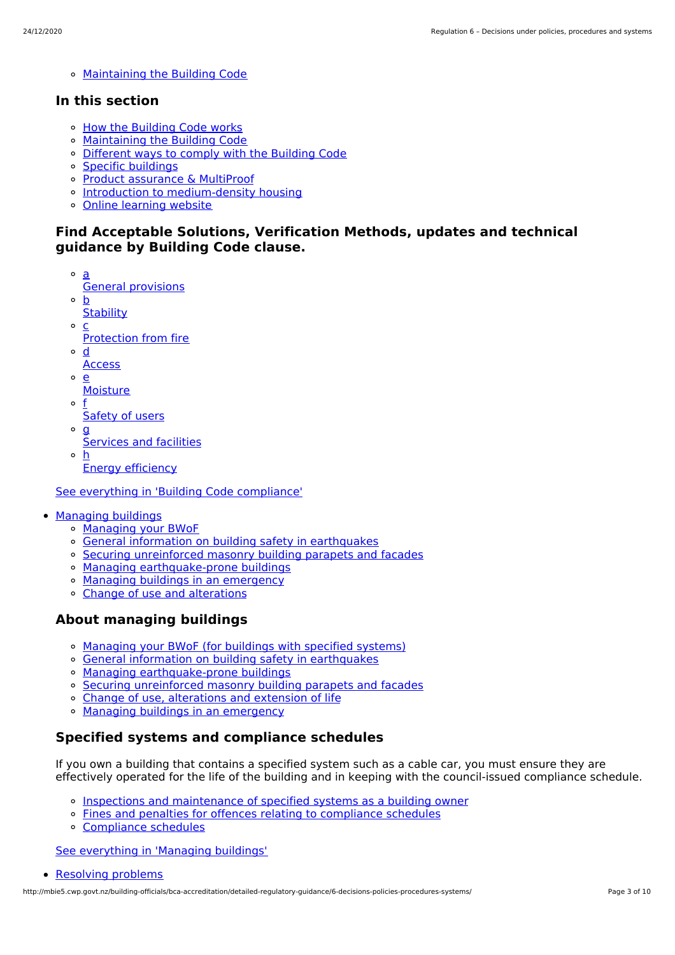[Maintaining](http://mbie5.cwp.govt.nz/building-code-compliance/annual-building-code-updates/) the Building Code

### **In this section**

- o How the [Building](http://mbie5.cwp.govt.nz/building-code-compliance/how-the-building-code-works/) Code works
- [Maintaining](http://mbie5.cwp.govt.nz/building-code-compliance/annual-building-code-updates/) the Building Code
- [Different](http://mbie5.cwp.govt.nz/building-code-compliance/how-the-building-code-works/different-ways-to-comply/) ways to comply with the Building Code
- Specific [buildings](http://mbie5.cwp.govt.nz/building-code-compliance/specific-buildings/)
- Product [assurance](http://mbie5.cwp.govt.nz/building-code-compliance/product-assurance-and-multiproof/) & MultiProof
- o Introduction to [medium-density](http://mbie5.cwp.govt.nz/building-code-compliance/introduction-to-medium-density-housing/) housing
- Online [learning](http://mbie5.cwp.govt.nz/building-code-compliance/online-learning/) website

### **Find Acceptable Solutions, Verification Methods, updates and technical guidance by Building Code clause.**

- a General provisions
- $\circ$ b
- **Stability**  $\Omega$ c
- Protection from fire
- $\circ$ d
- **Access**
- $\Omega$ e
	- **Moisture**
- o f Safety of users
- $\circ$  **g** 
	- Services and facilities
- h Energy efficiency

See everything in 'Building Code [compliance'](http://mbie5.cwp.govt.nz/building-code-compliance/)

- [Managing](http://mbie5.cwp.govt.nz/managing-buildings/) buildings
	- [Managing](http://mbie5.cwp.govt.nz/managing-buildings/managing-your-bwof/) your BWoF
	- General information on building safety in [earthquakes](http://mbie5.cwp.govt.nz/managing-buildings/building-safety-in-earthquakes/)
	- Securing [unreinforced](http://mbie5.cwp.govt.nz/managing-buildings/unreinforced-masonry/) masonry building parapets and facades
	- o Managing [earthquake-prone](http://mbie5.cwp.govt.nz/managing-buildings/managing-earthquake-prone-buildings/) buildings
	- Managing buildings in an [emergency](http://mbie5.cwp.govt.nz/managing-buildings/managing-buildings-in-an-emergency/)
	- Change of use and [alterations](http://mbie5.cwp.govt.nz/managing-buildings/change-of-use-and-alterations/)

### **About managing buildings**

- [Managing](http://mbie5.cwp.govt.nz/managing-buildings/managing-your-bwof/) your BWoF (for buildings with specified systems)
- General information on building safety in [earthquakes](http://mbie5.cwp.govt.nz/managing-buildings/building-safety-in-earthquakes/)
- Managing [earthquake-prone](http://mbie5.cwp.govt.nz/managing-buildings/managing-earthquake-prone-buildings/) buildings
- Securing [unreinforced](http://mbie5.cwp.govt.nz/managing-buildings/unreinforced-masonry/) masonry building parapets and facades
- Change of use, [alterations](http://mbie5.cwp.govt.nz/managing-buildings/change-of-use-and-alterations/) and extension of life
- o Managing buildings in an [emergency](http://mbie5.cwp.govt.nz/managing-buildings/managing-buildings-in-an-emergency/)

### **Specified systems and compliance schedules**

If you own a building that contains a specified system such as a cable car, you must ensure they are effectively operated for the life of the building and in keeping with the council-issued compliance schedule.

- Inspections and [maintenance](http://mbie5.cwp.govt.nz/managing-buildings/managing-your-bwof/inspections-and-maintenance/) of specified systems as a building owner
- Fines and penalties for offences relating to [compliance](http://mbie5.cwp.govt.nz/managing-buildings/managing-your-bwof/fines-and-penalties/) schedules
- [Compliance](http://mbie5.cwp.govt.nz/projects-and-consents/sign-off-and-maintenance/completing-your-project/compliance-schedules/) schedules

See [everything](http://mbie5.cwp.govt.nz/managing-buildings/) in 'Managing buildings'

```
Resolving problems
```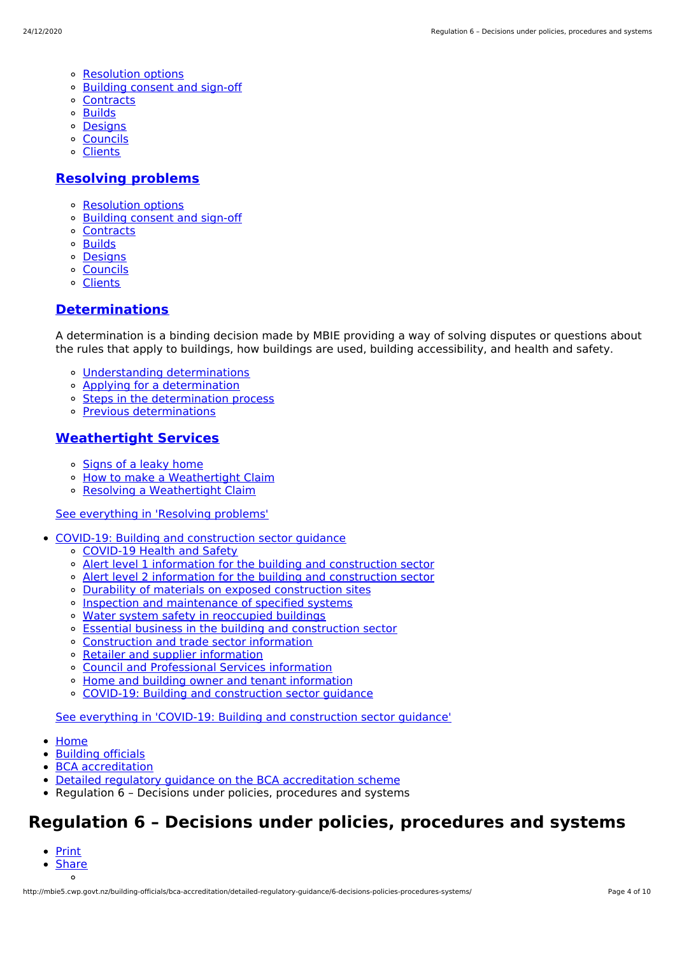- [Resolution](http://mbie5.cwp.govt.nz/resolving-problems/resolution-options/) options
- [Building](http://mbie5.cwp.govt.nz/resolving-problems/building-consent-and-sign-off/) consent and sign-off
- [Contracts](http://mbie5.cwp.govt.nz/resolving-problems/contracts/)
- [Builds](http://mbie5.cwp.govt.nz/resolving-problems/builds/)
- [Designs](http://mbie5.cwp.govt.nz/resolving-problems/designs/)
- [Councils](http://mbie5.cwp.govt.nz/resolving-problems/councils/)
- [Clients](http://mbie5.cwp.govt.nz/resolving-problems/clients/)

#### **[Resolving](http://mbie5.cwp.govt.nz/resolving-problems/) problems**

- [Resolution](http://mbie5.cwp.govt.nz/resolving-problems/resolution-options/) options
- [Building](http://mbie5.cwp.govt.nz/resolving-problems/building-consent-and-sign-off/) consent and sign-off
- [Contracts](http://mbie5.cwp.govt.nz/resolving-problems/contracts/)
- o **[Builds](http://mbie5.cwp.govt.nz/resolving-problems/builds/)**
- [Designs](http://mbie5.cwp.govt.nz/resolving-problems/designs/)
- [Councils](http://mbie5.cwp.govt.nz/resolving-problems/councils/)
- [Clients](http://mbie5.cwp.govt.nz/resolving-problems/clients/)

### **[Determinations](http://mbie5.cwp.govt.nz/resolving-problems/resolution-options/determinations/)**

A determination is a binding decision made by MBIE providing a way of solving disputes or questions about the rules that apply to buildings, how buildings are used, building accessibility, and health and safety.

- Understanding [determinations](http://mbie5.cwp.govt.nz/resolving-problems/resolution-options/determinations/)
- Applying for a [determination](http://mbie5.cwp.govt.nz/resolving-problems/resolution-options/determinations/applying-for-a-determination/)
- o Steps in the [determination](http://mbie5.cwp.govt.nz/resolving-problems/resolution-options/determinations/steps-in-the-determination-process/) process
- Previous [determinations](http://mbie5.cwp.govt.nz/resolving-problems/resolution-options/determinations/determinations-issued/)

#### **[Weathertight](http://mbie5.cwp.govt.nz/resolving-problems/resolution-options/weathertight-services/) Services**

- o [Signs](http://mbie5.cwp.govt.nz/resolving-problems/resolution-options/weathertight-services/signs-of-a-leaky-home/) of a leaky home
- How to make a [Weathertight](http://mbie5.cwp.govt.nz/resolving-problems/resolution-options/weathertight-services/make-a-weathertight-home-claim/) Claim
- Resolving a [Weathertight](http://mbie5.cwp.govt.nz/resolving-problems/resolution-options/weathertight-services/resolving-a-claim/) Claim

#### See [everything](http://mbie5.cwp.govt.nz/resolving-problems/) in 'Resolving problems'

- COVID-19: Building and [construction](http://mbie5.cwp.govt.nz/covid-19/) sector guidance
	- [COVID-19](http://mbie5.cwp.govt.nz/covid-19/health-and-safety/) Health and Safety
	- Alert level 1 information for the building and [construction](http://mbie5.cwp.govt.nz/covid-19/alert-level-1-information-for-the-building-and-construction-sector/) sector
	- Alert level 2 information for the building and [construction](http://mbie5.cwp.govt.nz/covid-19/alert-level-2-information-for-the-building-and-construction-sector/) sector
	- Durability of materials on exposed [construction](http://mbie5.cwp.govt.nz/covid-19/durability-of-materials-on-exposed-construction-sites/) sites
	- o Inspection and [maintenance](http://mbie5.cwp.govt.nz/covid-19/inspection-and-maintenance-of-specified-systems/) of specified systems
	- o Water system safety in [reoccupied](http://mbie5.cwp.govt.nz/covid-19/water-system-safety-in-reoccupied-buildings/) buildings
	- Essential business in the building and [construction](http://mbie5.cwp.govt.nz/covid-19/essential-business/) sector
	- [Construction](http://mbie5.cwp.govt.nz/covid-19/construction-and-trade-sector-information/) and trade sector information
	- o Retailer and supplier [information](http://mbie5.cwp.govt.nz/covid-19/retailer-and-supplier-information/)
	- Council and [Professional](http://mbie5.cwp.govt.nz/covid-19/council-and-professional-services-information/) Services information
	- Home and building owner and tenant [information](http://mbie5.cwp.govt.nz/covid-19/home-and-building-owner-and-tenant-information/)
	- COVID-19: Building and [construction](http://mbie5.cwp.govt.nz/covid-19/) sector guidance  $\Omega$

See everything in 'COVID-19: Building and [construction](http://mbie5.cwp.govt.nz/covid-19/) sector guidance'

- [Home](http://mbie5.cwp.govt.nz/)
- [Building](http://mbie5.cwp.govt.nz/building-officials/) officials
- BCA [accreditation](http://mbie5.cwp.govt.nz/building-officials/bca-accreditation/)
- Detailed regulatory guidance on the BCA [accreditation](http://mbie5.cwp.govt.nz/building-officials/bca-accreditation/detailed-regulatory-guidance/) scheme
- Regulation 6 Decisions under policies, procedures and systems

# **Regulation 6 – Decisions under policies, procedures and systems**

- [Print](http://mbie5.cwp.govt.nz/#)
- **[Share](http://mbie5.cwp.govt.nz/#)**  $\circ$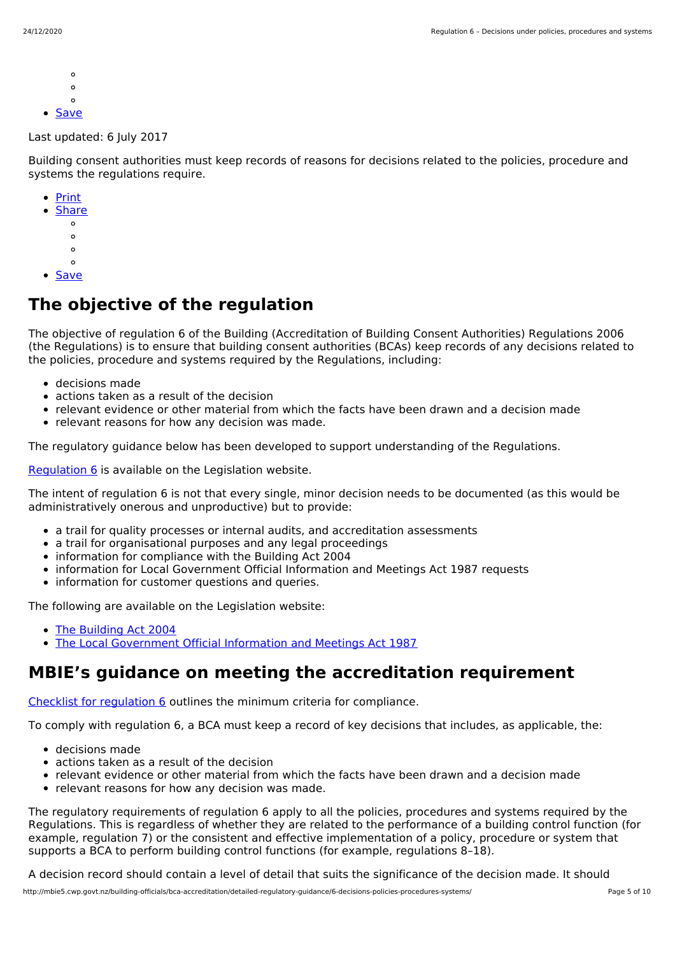- $\circ$
- $\circ$  $\Omega$
- [Save](http://mbie5.cwp.govt.nz/building-officials/bca-accreditation/detailed-regulatory-guidance/6-decisions-policies-procedures-systems/downloadpdf)  $\bullet$

Last updated: 6 July 2017

Building consent authorities must keep records of reasons for decisions related to the policies, procedure and systems the regulations require.

- [Print](http://mbie5.cwp.govt.nz/#)
- **[Share](http://mbie5.cwp.govt.nz/#)** 
	- $\circ$
	- $\circ$
	- $\circ$
	- $\circ$
- [Save](http://mbie5.cwp.govt.nz/building-officials/bca-accreditation/detailed-regulatory-guidance/6-decisions-policies-procedures-systems/downloadpdf)

# **The objective of the regulation**

The objective of regulation 6 of the Building (Accreditation of Building Consent Authorities) Regulations 2006 (the Regulations) is to ensure that building consent authorities (BCAs) keep records of any decisions related to the policies, procedure and systems required by the Regulations, including:

- decisions made
- actions taken as a result of the decision
- relevant evidence or other material from which the facts have been drawn and a decision made
- relevant reasons for how any decision was made.

The regulatory guidance below has been developed to support understanding of the Regulations.

[Regulation](http://www.legislation.govt.nz/regulation/public/2006/0399/latest/DLM424681.html) 6 is available on the Legislation website.

The intent of regulation 6 is not that every single, minor decision needs to be documented (as this would be administratively onerous and unproductive) but to provide:

- a trail for quality processes or internal audits, and accreditation assessments
- a trail for organisational purposes and any legal proceedings
- information for compliance with the Building Act 2004
- information for Local Government Official Information and Meetings Act 1987 requests
- information for customer questions and queries.

The following are available on the Legislation website:

- The [Building](http://legislation.govt.nz/act/public/2004/0072/latest/DLM306036.html) Act 2004
- The Local [Government](http://www.legislation.govt.nz/act/public/1987/0174/latest/DLM122242.html) Official Information and Meetings Act 1987  $\bullet$

# **MBIE's guidance on meeting the accreditation requirement**

Checklist for [regulation](http://mbie5.cwp.govt.nz/building-officials/bca-accreditation/detailed-regulatory-guidance/checklists/) 6 outlines the minimum criteria for compliance.

To comply with regulation 6, a BCA must keep a record of key decisions that includes, as applicable, the:

- decisions made
- actions taken as a result of the decision
- relevant evidence or other material from which the facts have been drawn and a decision made
- relevant reasons for how any decision was made.

The regulatory requirements of regulation 6 apply to all the policies, procedures and systems required by the Regulations. This is regardless of whether they are related to the performance of a building control function (for example, regulation 7) or the consistent and effective implementation of a policy, procedure or system that supports a BCA to perform building control functions (for example, regulations 8–18).

A decision record should contain a level of detail that suits the significance of the decision made. It should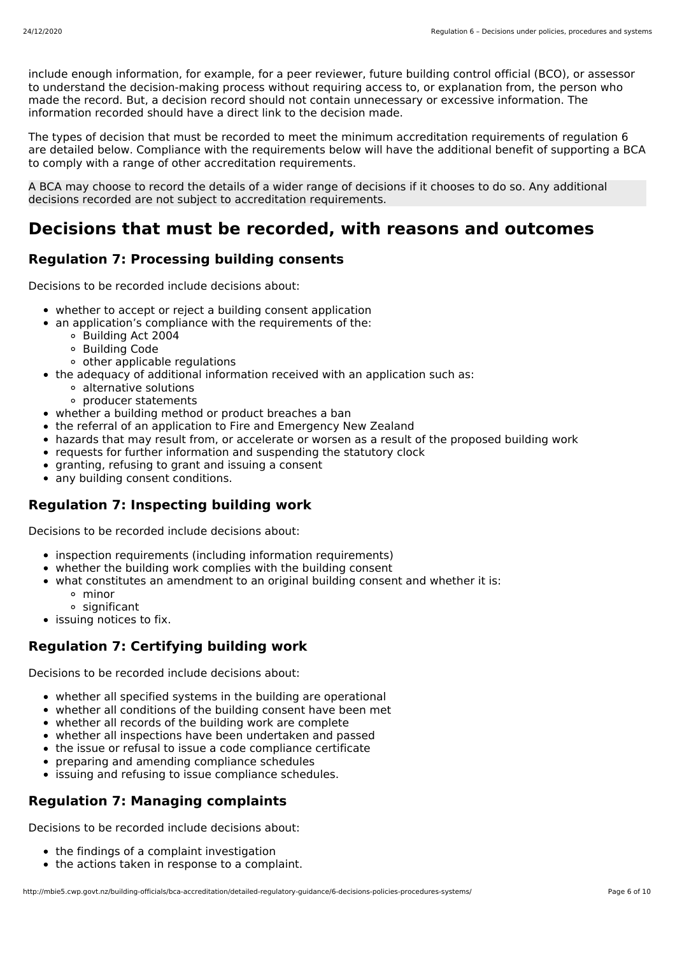include enough information, for example, for a peer reviewer, future building control official (BCO), or assessor to understand the decision-making process without requiring access to, or explanation from, the person who made the record. But, a decision record should not contain unnecessary or excessive information. The information recorded should have a direct link to the decision made.

The types of decision that must be recorded to meet the minimum accreditation requirements of regulation 6 are detailed below. Compliance with the requirements below will have the additional benefit of supporting a BCA to comply with a range of other accreditation requirements.

A BCA may choose to record the details of a wider range of decisions if it chooses to do so. Any additional decisions recorded are not subject to accreditation requirements.

# **Decisions that must be recorded, with reasons and outcomes**

## **Regulation 7: Processing building consents**

Decisions to be recorded include decisions about:

- whether to accept or reject a building consent application
- an application's compliance with the requirements of the:  $\bullet$ 
	- Building Act 2004
	- Building Code
	- other applicable regulations
- the adequacy of additional information received with an application such as:
	- alternative solutions
	- producer statements
- whether a building method or product breaches a ban
- the referral of an application to Fire and Emergency New Zealand
- hazards that may result from, or accelerate or worsen as a result of the proposed building work
- requests for further information and suspending the statutory clock
- granting, refusing to grant and issuing a consent
- any building consent conditions.

### **Regulation 7: Inspecting building work**

Decisions to be recorded include decisions about:

- inspection requirements (including information requirements)
- whether the building work complies with the building consent
- what constitutes an amendment to an original building consent and whether it is:
	- minor
	- o significant
- issuing notices to fix.

### **Regulation 7: Certifying building work**

Decisions to be recorded include decisions about:

- whether all specified systems in the building are operational
- whether all conditions of the building consent have been met
- whether all records of the building work are complete
- whether all inspections have been undertaken and passed
- the issue or refusal to issue a code compliance certificate
- preparing and amending compliance schedules
- **issuing and refusing to issue compliance schedules.**

## **Regulation 7: Managing complaints**

Decisions to be recorded include decisions about:

- the findings of a complaint investigation
- the actions taken in response to a complaint.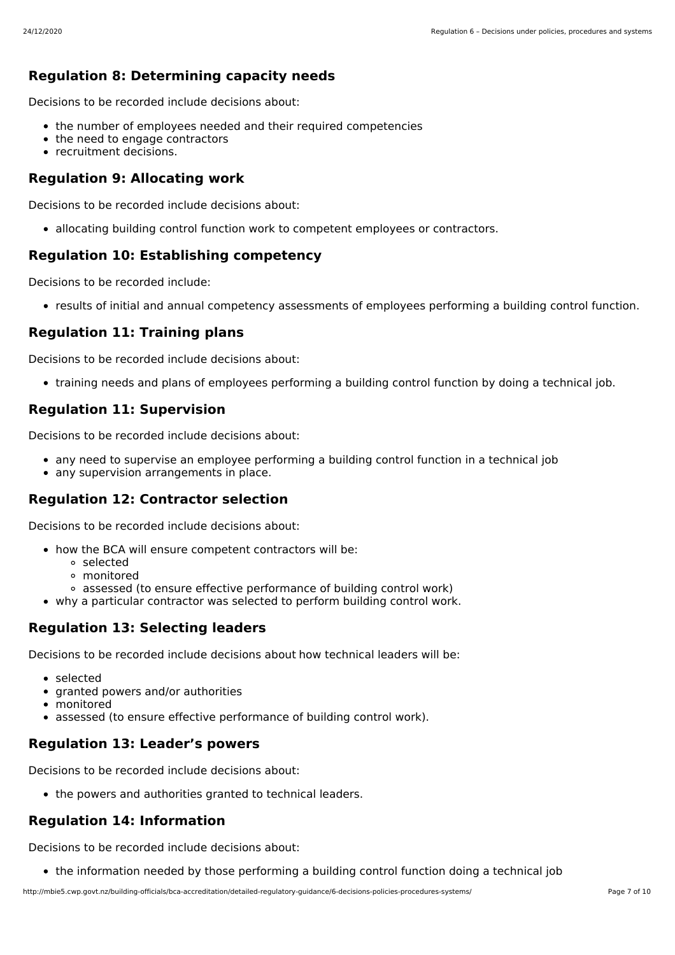### **Regulation 8: Determining capacity needs**

Decisions to be recorded include decisions about:

- the number of employees needed and their required competencies
- the need to engage contractors
- recruitment decisions.

### **Regulation 9: Allocating work**

Decisions to be recorded include decisions about:

• allocating building control function work to competent employees or contractors.

### **Regulation 10: Establishing competency**

Decisions to be recorded include:

results of initial and annual competency assessments of employees performing a building control function.

### **Regulation 11: Training plans**

Decisions to be recorded include decisions about:

training needs and plans of employees performing a building control function by doing a technical job.

### **Regulation 11: Supervision**

Decisions to be recorded include decisions about:

- any need to supervise an employee performing a building control function in a technical job
- any supervision arrangements in place.

### **Regulation 12: Contractor selection**

Decisions to be recorded include decisions about:

- how the BCA will ensure competent contractors will be:
	- selected
	- monitored
	- assessed (to ensure effective performance of building control work)
- why a particular contractor was selected to perform building control work.

### **Regulation 13: Selecting leaders**

Decisions to be recorded include decisions about how technical leaders will be:

- selected
- granted powers and/or authorities
- monitored
- assessed (to ensure effective performance of building control work).

### **Regulation 13: Leader's powers**

Decisions to be recorded include decisions about:

• the powers and authorities granted to technical leaders.

### **Regulation 14: Information**

Decisions to be recorded include decisions about:

the information needed by those performing a building control function doing a technical job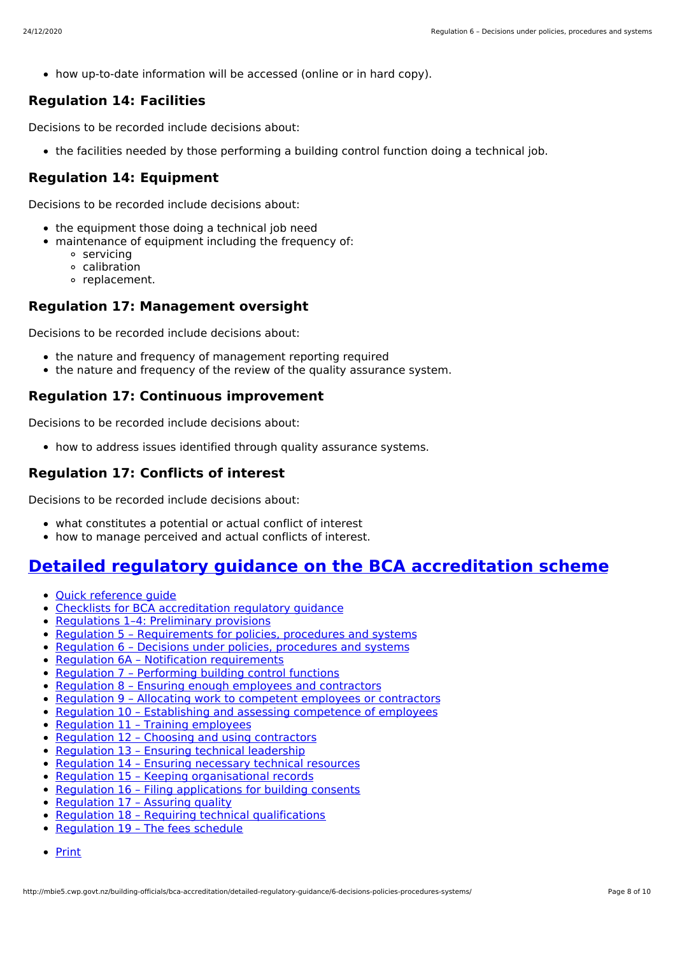how up-to-date information will be accessed (online or in hard copy).

### **Regulation 14: Facilities**

Decisions to be recorded include decisions about:

the facilities needed by those performing a building control function doing a technical job.

### **Regulation 14: Equipment**

Decisions to be recorded include decisions about:

- the equipment those doing a technical job need
- maintenance of equipment including the frequency of:
	- servicing
	- calibration
	- o replacement.

### **Regulation 17: Management oversight**

Decisions to be recorded include decisions about:

- the nature and frequency of management reporting required
- the nature and frequency of the review of the quality assurance system.

### **Regulation 17: Continuous improvement**

Decisions to be recorded include decisions about:

• how to address issues identified through quality assurance systems.

### **Regulation 17: Conflicts of interest**

Decisions to be recorded include decisions about:

- what constitutes a potential or actual conflict of interest
- how to manage perceived and actual conflicts of interest.

# **Detailed regulatory guidance on the BCA [accreditation](http://mbie5.cwp.govt.nz/building-officials/bca-accreditation/detailed-regulatory-guidance/) scheme**

- Quick [reference](http://mbie5.cwp.govt.nz/building-officials/bca-accreditation/detailed-regulatory-guidance/bca-accreditation-guide/) guide
- Checklists for BCA [accreditation](http://mbie5.cwp.govt.nz/building-officials/bca-accreditation/detailed-regulatory-guidance/checklists/) regulatory guidance
- [Regulations](http://mbie5.cwp.govt.nz/building-officials/bca-accreditation/detailed-regulatory-guidance/1-4-preliminary-provisions/) 1-4: Preliminary provisions
- Regulation 5 [Requirements](http://mbie5.cwp.govt.nz/building-officials/bca-accreditation/detailed-regulatory-guidance/5-requirements-policies-procedures-systems/) for policies, procedures and systems
- Regulation 6 Decisions under policies, [procedures](http://mbie5.cwp.govt.nz/building-officials/bca-accreditation/detailed-regulatory-guidance/6-decisions-policies-procedures-systems/) and systems
- Regulation 6A Notification [requirements](http://mbie5.cwp.govt.nz/building-officials/bca-accreditation/detailed-regulatory-guidance/6a-notification-requirements/)
- Regulation 7 [Performing](http://mbie5.cwp.govt.nz/building-officials/bca-accreditation/detailed-regulatory-guidance/7-perform-building-control-functions/) building control functions
- Regulation 8 Ensuring enough [employees](http://mbie5.cwp.govt.nz/building-officials/bca-accreditation/detailed-regulatory-guidance/8-ensure-enough-employees-contractors/) and contractors
- Regulation 9 Allocating work to competent employees or [contractors](http://mbie5.cwp.govt.nz/building-officials/bca-accreditation/detailed-regulatory-guidance/9-allocate-work-competent-employees-contractors/)  $\bullet$
- Regulation 10 Establishing and assessing [competence](http://mbie5.cwp.govt.nz/building-officials/bca-accreditation/detailed-regulatory-guidance/10-establish-assess-competence-employees/) of employees  $\bullet$
- [Regulation](http://mbie5.cwp.govt.nz/building-officials/bca-accreditation/detailed-regulatory-guidance/11-training-employees/) 11 Training employees  $\bullet$
- Regulation 12 Choosing and using [contractors](http://mbie5.cwp.govt.nz/building-officials/bca-accreditation/detailed-regulatory-guidance/12-choosing-using-contractors/)  $\bullet$
- [Regulation](http://mbie5.cwp.govt.nz/building-officials/bca-accreditation/detailed-regulatory-guidance/13-technical-leadership/) 13 Ensuring technical leadership  $\bullet$
- [Regulation](http://mbie5.cwp.govt.nz/building-officials/bca-accreditation/detailed-regulatory-guidance/14-necessary-technical-resources/) 14 Ensuring necessary technical resources
- Regulation 15 Keeping [organisational](http://mbie5.cwp.govt.nz/building-officials/bca-accreditation/detailed-regulatory-guidance/15-keeping-organisational-records/) records
- Regulation 16 Filing [applications](http://mbie5.cwp.govt.nz/building-officials/bca-accreditation/detailed-regulatory-guidance/16-filing-applications-building-consents/) for building consents
- [Regulation](http://mbie5.cwp.govt.nz/building-officials/bca-accreditation/detailed-regulatory-guidance/17-assuring-quality/) 17 Assuring quality
- Regulation 18 Requiring technical [qualifications](http://mbie5.cwp.govt.nz/building-officials/bca-accreditation/detailed-regulatory-guidance/18-appropriate-technical-qualifications/)
- [Regulation](http://mbie5.cwp.govt.nz/building-officials/bca-accreditation/detailed-regulatory-guidance/19-fees-schedule/) 19 The fees schedule
- [Print](http://mbie5.cwp.govt.nz/#)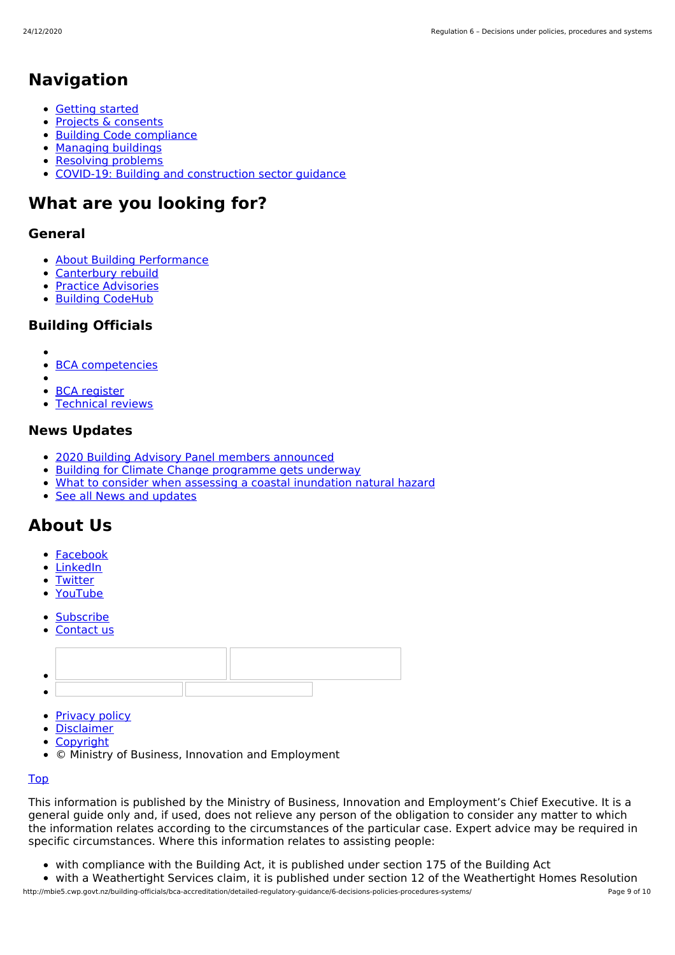# **Navigation**

- [Getting](http://mbie5.cwp.govt.nz/getting-started/) started
- $\bullet$ Projects & [consents](http://mbie5.cwp.govt.nz/projects-and-consents/)
- Building Code [compliance](http://mbie5.cwp.govt.nz/building-code-compliance/)  $\bullet$
- [Managing](http://mbie5.cwp.govt.nz/managing-buildings/) buildings
- [Resolving](http://mbie5.cwp.govt.nz/resolving-problems/) problems
- COVID-19: Building and [construction](http://mbie5.cwp.govt.nz/covid-19/) sector guidance

# **What are you looking for?**

### **General**

- About Building [Performance](http://mbie5.cwp.govt.nz/about-building-performance/)  $\bullet$
- [Canterbury](http://mbie5.cwp.govt.nz/building-code-compliance/canterbury-rebuild/) rebuild  $\bullet$
- Practice [Advisories](http://mbie5.cwp.govt.nz/search/?keyword=practice+advisory&search=)  $\bullet$
- Building [CodeHub](https://codehub.building.govt.nz)

### **Building Officials**

- 
- $\bullet$ BCA [competencies](http://mbie5.cwp.govt.nz/building-officials/national-bca-competency-assessment-system/)
- $\bullet$ BCA [register](http://mbie5.cwp.govt.nz/building-officials/find-a-bca/)
- [Technical](http://mbie5.cwp.govt.nz/building-officials/technical-reviews/) reviews

### **News Updates**

- 2020 Building Advisory Panel members [announced](http://mbie5.cwp.govt.nz/about-building-performance/news-and-updates/all-news-and-updates/2020-building-advisory-panel-members-announced/)
- Building for Climate Change [programme](http://mbie5.cwp.govt.nz/about-building-performance/news-and-updates/all-news-and-updates/building-for-climate-change-programme-gets-underway/) gets underway  $\bullet$
- What to consider when assessing a coastal [inundation](http://mbie5.cwp.govt.nz/about-building-performance/news-and-updates/codewords/codewords-issue-95/determination/) natural hazard  $\bullet$
- See all News and [updates](http://mbie5.cwp.govt.nz/about-building-performance/news-and-updates/all-news-and-updates/)

# **About Us**

- [Facebook](https://www.facebook.com/MBIEgovtNZ)
- [LinkedIn](https://www.linkedin.com/company/ministry-of-business-innovation-and-employment)
- **[Twitter](https://twitter.com/mbiegovtnz)**
- [YouTube](https://www.youtube.com/user/dbhnewzealand)
- **[Subscribe](https://confirmsubscription.com/h/r/7BC65D75D18899C62540EF23F30FEDED)**
- [Contact](http://mbie5.cwp.govt.nz/about-building-performance/contact-us/) us



- [Privacy](http://mbie5.cwp.govt.nz/about-building-performance/privacy-policy/) policy
- [Disclaimer](http://mbie5.cwp.govt.nz/about-building-performance/disclaimer/)
- [Copyright](http://mbie5.cwp.govt.nz/about-building-performance/copyright/)
- © Ministry of Business, Innovation and Employment

#### [Top](http://mbie5.cwp.govt.nz/#top)

This information is published by the Ministry of Business, Innovation and Employment's Chief Executive. It is a general guide only and, if used, does not relieve any person of the obligation to consider any matter to which the information relates according to the circumstances of the particular case. Expert advice may be required in specific circumstances. Where this information relates to assisting people:

- with compliance with the Building Act, it is published under section 175 of the Building Act
- with a Weathertight Services claim, it is published under section 12 of the Weathertight Homes Resolution http://mbie5.cwp.govt.nz/building-officials/bca-accreditation/detailed-regulatory-guidance/6-decisions-policies-procedures-systems/ Page 9 of 10